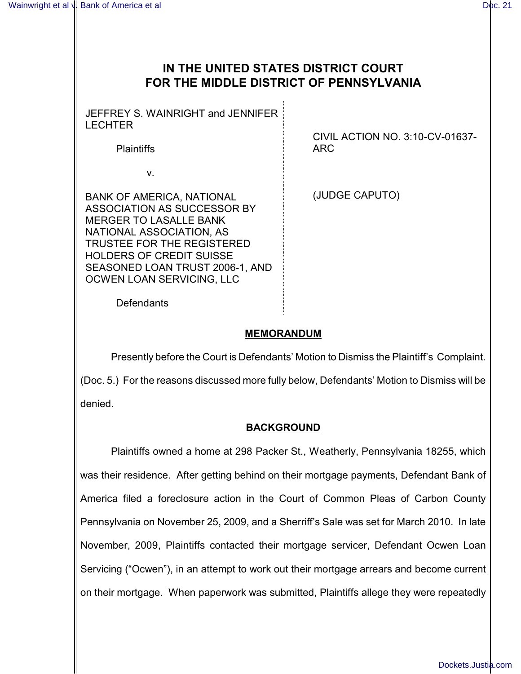# **IN THE UNITED STATES DISTRICT COURT FOR THE MIDDLE DISTRICT OF PENNSYLVANIA**

JEFFREY S. WAINRIGHT and JENNIFER LECHTER

**Plaintiffs** 

v.

BANK OF AMERICA, NATIONAL ASSOCIATION AS SUCCESSOR BY MERGER TO LASALLE BANK NATIONAL ASSOCIATION, AS TRUSTEE FOR THE REGISTERED HOLDERS OF CREDIT SUISSE SEASONED LOAN TRUST 2006-1, AND OCWEN LOAN SERVICING, LLC

CIVIL ACTION NO. 3:10-CV-01637- ARC

(JUDGE CAPUTO)

**Defendants** 

## **MEMORANDUM**

Presently before the Court is Defendants' Motion to Dismiss the Plaintiff's Complaint. (Doc. 5.) For the reasons discussed more fully below, Defendants' Motion to Dismiss will be denied.

### **BACKGROUND**

Plaintiffs owned a home at 298 Packer St., Weatherly, Pennsylvania 18255, which was their residence. After getting behind on their mortgage payments, Defendant Bank of America filed a foreclosure action in the Court of Common Pleas of Carbon County Pennsylvania on November 25, 2009, and a Sherriff's Sale was set for March 2010. In late November, 2009, Plaintiffs contacted their mortgage servicer, Defendant Ocwen Loan Servicing ("Ocwen"), in an attempt to work out their mortgage arrears and become current on their mortgage. When paperwork was submitted, Plaintiffs allege they were repeatedly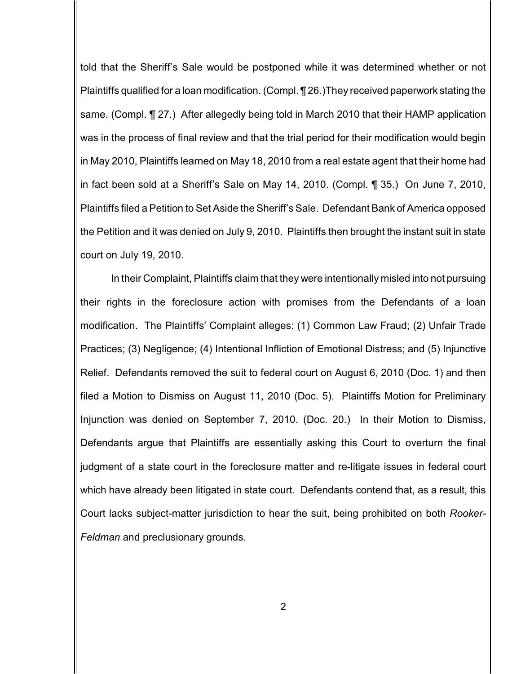told that the Sheriff's Sale would be postponed while it was determined whether or not Plaintiffs qualified for a loan modification. (Compl. ¶ 26.)They received paperwork stating the same. (Compl. ¶ 27.) After allegedly being told in March 2010 that their HAMP application was in the process of final review and that the trial period for their modification would begin in May 2010, Plaintiffs learned on May 18, 2010 from a real estate agent that their home had in fact been sold at a Sheriff's Sale on May 14, 2010. (Compl. ¶ 35.) On June 7, 2010, Plaintiffs filed a Petition to Set Aside the Sheriff's Sale. Defendant Bank of America opposed the Petition and it was denied on July 9, 2010. Plaintiffs then brought the instant suit in state court on July 19, 2010.

In their Complaint, Plaintiffs claim that they were intentionally misled into not pursuing their rights in the foreclosure action with promises from the Defendants of a loan modification. The Plaintiffs' Complaint alleges: (1) Common Law Fraud; (2) Unfair Trade Practices; (3) Negligence; (4) Intentional Infliction of Emotional Distress; and (5) Injunctive Relief. Defendants removed the suit to federal court on August 6, 2010 (Doc. 1) and then filed a Motion to Dismiss on August 11, 2010 (Doc. 5). Plaintiffs Motion for Preliminary Injunction was denied on September 7, 2010. (Doc. 20.) In their Motion to Dismiss, Defendants argue that Plaintiffs are essentially asking this Court to overturn the final judgment of a state court in the foreclosure matter and re-litigate issues in federal court which have already been litigated in state court. Defendants contend that, as a result, this Court lacks subject-matter jurisdiction to hear the suit, being prohibited on both *Rooker-Feldman* and preclusionary grounds.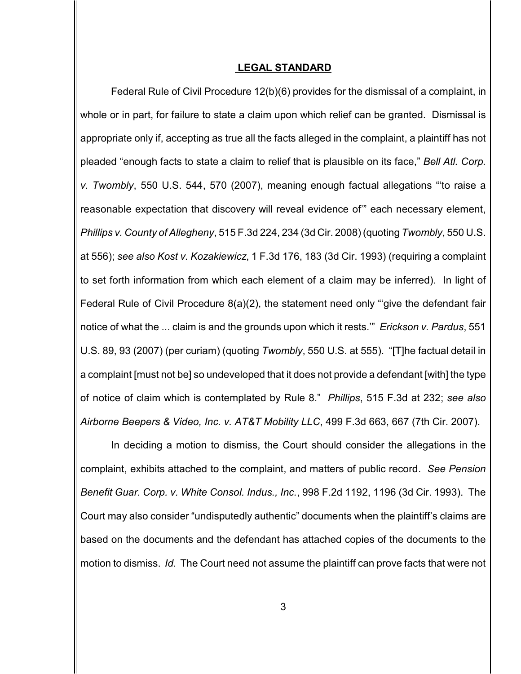#### **LEGAL STANDARD**

Federal Rule of Civil Procedure 12(b)(6) provides for the dismissal of a complaint, in whole or in part, for failure to state a claim upon which relief can be granted. Dismissal is appropriate only if, accepting as true all the facts alleged in the complaint, a plaintiff has not pleaded "enough facts to state a claim to relief that is plausible on its face," *Bell Atl. Corp. v. Twombly*, 550 U.S. 544, 570 (2007), meaning enough factual allegations "'to raise a reasonable expectation that discovery will reveal evidence of'" each necessary element, *Phillips v. County of Allegheny*, 515 F.3d 224, 234 (3d Cir. 2008) (quoting *Twombly*, 550 U.S. at 556); *see also Kost v. Kozakiewicz*, 1 F.3d 176, 183 (3d Cir. 1993) (requiring a complaint to set forth information from which each element of a claim may be inferred). In light of Federal Rule of Civil Procedure 8(a)(2), the statement need only "'give the defendant fair notice of what the ... claim is and the grounds upon which it rests.'" *Erickson v. Pardus*, 551 U.S. 89, 93 (2007) (per curiam) (quoting *Twombly*, 550 U.S. at 555). "[T]he factual detail in a complaint [must not be] so undeveloped that it does not provide a defendant [with] the type of notice of claim which is contemplated by Rule 8." *Phillips*, 515 F.3d at 232; *see also Airborne Beepers & Video, Inc. v. AT&T Mobility LLC*, 499 F.3d 663, 667 (7th Cir. 2007).

In deciding a motion to dismiss, the Court should consider the allegations in the complaint, exhibits attached to the complaint, and matters of public record. *See Pension Benefit Guar. Corp. v. White Consol. Indus., Inc.*, 998 F.2d 1192, 1196 (3d Cir. 1993). The Court may also consider "undisputedly authentic" documents when the plaintiff's claims are based on the documents and the defendant has attached copies of the documents to the motion to dismiss. *Id.* The Court need not assume the plaintiff can prove facts that were not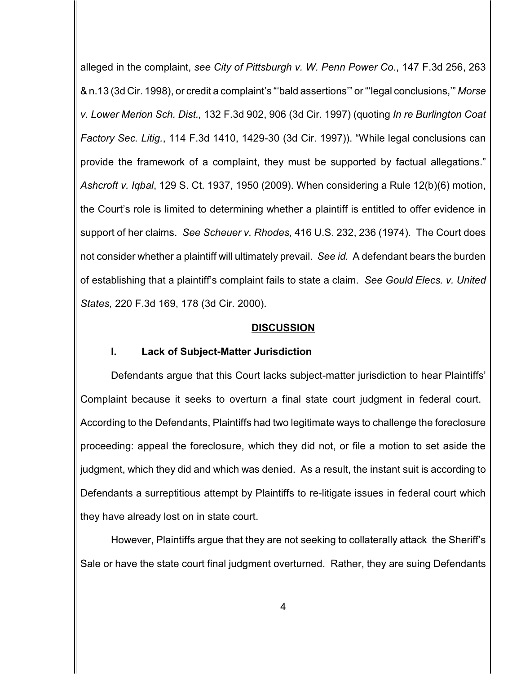alleged in the complaint, *see City of Pittsburgh v. W. Penn Power Co.*, 147 F.3d 256, 263 & n.13 (3d Cir. 1998), or credit a complaint's "'bald assertions'" or "'legal conclusions,'" *Morse v. Lower Merion Sch. Dist.,* 132 F.3d 902, 906 (3d Cir. 1997) (quoting *In re Burlington Coat Factory Sec. Litig.*, 114 F.3d 1410, 1429-30 (3d Cir. 1997)). "While legal conclusions can provide the framework of a complaint, they must be supported by factual allegations." *Ashcroft v. Iqbal*, 129 S. Ct. 1937, 1950 (2009). When considering a Rule 12(b)(6) motion, the Court's role is limited to determining whether a plaintiff is entitled to offer evidence in support of her claims. *See Scheuer v. Rhodes,* 416 U.S. 232, 236 (1974). The Court does not consider whether a plaintiff will ultimately prevail. *See id.* A defendant bears the burden of establishing that a plaintiff's complaint fails to state a claim. *See Gould Elecs. v. United States,* 220 F.3d 169, 178 (3d Cir. 2000).

#### **DISCUSSION**

#### **I. Lack of Subject-Matter Jurisdiction**

Defendants argue that this Court lacks subject-matter jurisdiction to hear Plaintiffs' Complaint because it seeks to overturn a final state court judgment in federal court. According to the Defendants, Plaintiffs had two legitimate ways to challenge the foreclosure proceeding: appeal the foreclosure, which they did not, or file a motion to set aside the judgment, which they did and which was denied. As a result, the instant suit is according to Defendants a surreptitious attempt by Plaintiffs to re-litigate issues in federal court which they have already lost on in state court.

However, Plaintiffs argue that they are not seeking to collaterally attack the Sheriff's Sale or have the state court final judgment overturned. Rather, they are suing Defendants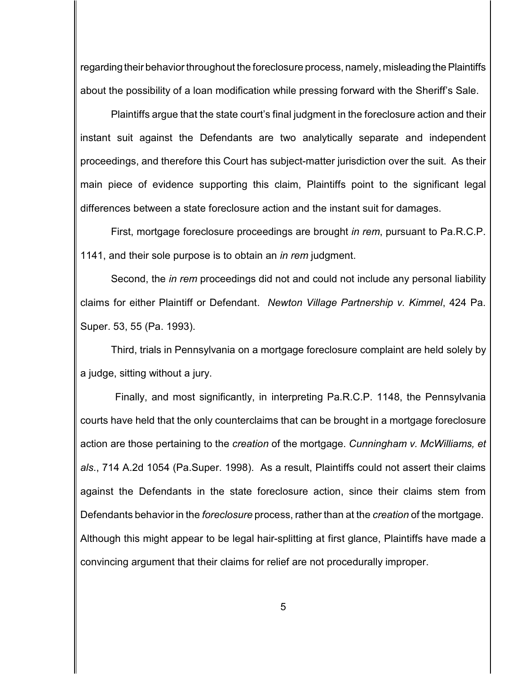regarding their behavior throughout the foreclosure process, namely, misleading the Plaintiffs about the possibility of a loan modification while pressing forward with the Sheriff's Sale.

Plaintiffs argue that the state court's final judgment in the foreclosure action and their instant suit against the Defendants are two analytically separate and independent proceedings, and therefore this Court has subject-matter jurisdiction over the suit. As their main piece of evidence supporting this claim, Plaintiffs point to the significant legal differences between a state foreclosure action and the instant suit for damages.

First, mortgage foreclosure proceedings are brought *in rem*, pursuant to Pa.R.C.P. 1141, and their sole purpose is to obtain an *in rem* judgment.

Second, the *in rem* proceedings did not and could not include any personal liability claims for either Plaintiff or Defendant. *Newton Village Partnership v. Kimmel*, 424 Pa. Super. 53, 55 (Pa. 1993).

Third, trials in Pennsylvania on a mortgage foreclosure complaint are held solely by a judge, sitting without a jury.

Finally, and most significantly, in interpreting Pa.R.C.P. 1148, the Pennsylvania courts have held that the only counterclaims that can be brought in a mortgage foreclosure action are those pertaining to the *creation* of the mortgage. *Cunningham v. McWilliams, et als*., 714 A.2d 1054 (Pa.Super. 1998). As a result, Plaintiffs could not assert their claims against the Defendants in the state foreclosure action, since their claims stem from Defendants behavior in the *foreclosure* process, rather than at the *creation* of the mortgage. Although this might appear to be legal hair-splitting at first glance, Plaintiffs have made a convincing argument that their claims for relief are not procedurally improper.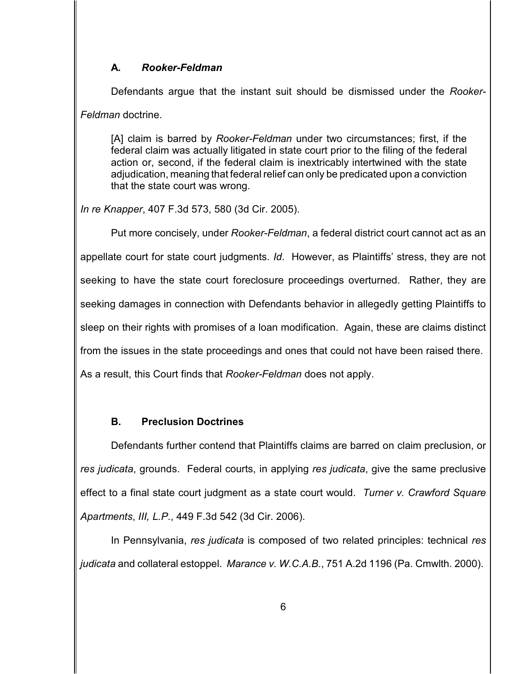### **A.** *Rooker-Feldman*

Defendants argue that the instant suit should be dismissed under the *Rooker-Feldman* doctrine.

[A] claim is barred by *Rooker-Feldman* under two circumstances; first, if the federal claim was actually litigated in state court prior to the filing of the federal action or, second, if the federal claim is inextricably intertwined with the state adjudication, meaning that federal relief can only be predicated upon a conviction that the state court was wrong.

*In re Knapper*, 407 F.3d 573, 580 (3d Cir. 2005).

Put more concisely, under *Rooker-Feldman*, a federal district court cannot act as an appellate court for state court judgments. *Id*. However, as Plaintiffs' stress, they are not seeking to have the state court foreclosure proceedings overturned. Rather, they are seeking damages in connection with Defendants behavior in allegedly getting Plaintiffs to sleep on their rights with promises of a loan modification. Again, these are claims distinct from the issues in the state proceedings and ones that could not have been raised there. As a result, this Court finds that *Rooker-Feldman* does not apply.

### **B. Preclusion Doctrines**

Defendants further contend that Plaintiffs claims are barred on claim preclusion, or *res judicata*, grounds. Federal courts, in applying *res judicata*, give the same preclusive effect to a final state court judgment as a state court would. *Turner v. Crawford Square Apartments*, *III, L.P.*, 449 F.3d 542 (3d Cir. 2006).

In Pennsylvania, *res judicata* is composed of two related principles: technical *res judicata* and collateral estoppel. *Marance v. W.C.A.B.*, 751 A.2d 1196 (Pa. Cmwlth. 2000).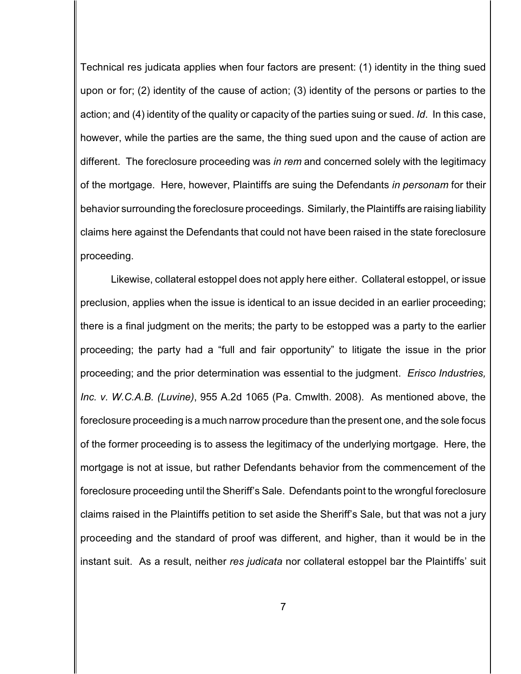Technical res judicata applies when four factors are present: (1) identity in the thing sued upon or for; (2) identity of the cause of action; (3) identity of the persons or parties to the action; and (4) identity of the quality or capacity of the parties suing or sued. *Id*. In this case, however, while the parties are the same, the thing sued upon and the cause of action are different. The foreclosure proceeding was *in rem* and concerned solely with the legitimacy of the mortgage. Here, however, Plaintiffs are suing the Defendants *in personam* for their behavior surrounding the foreclosure proceedings. Similarly, the Plaintiffs are raising liability claims here against the Defendants that could not have been raised in the state foreclosure proceeding.

Likewise, collateral estoppel does not apply here either. Collateral estoppel, or issue preclusion, applies when the issue is identical to an issue decided in an earlier proceeding; there is a final judgment on the merits; the party to be estopped was a party to the earlier proceeding; the party had a "full and fair opportunity" to litigate the issue in the prior proceeding; and the prior determination was essential to the judgment. *Erisco Industries, Inc. v. W.C.A.B. (Luvine)*, 955 A.2d 1065 (Pa. Cmwlth. 2008). As mentioned above, the foreclosure proceeding is a much narrow procedure than the present one, and the sole focus of the former proceeding is to assess the legitimacy of the underlying mortgage. Here, the mortgage is not at issue, but rather Defendants behavior from the commencement of the foreclosure proceeding until the Sheriff's Sale. Defendants point to the wrongful foreclosure claims raised in the Plaintiffs petition to set aside the Sheriff's Sale, but that was not a jury proceeding and the standard of proof was different, and higher, than it would be in the instant suit. As a result, neither *res judicata* nor collateral estoppel bar the Plaintiffs' suit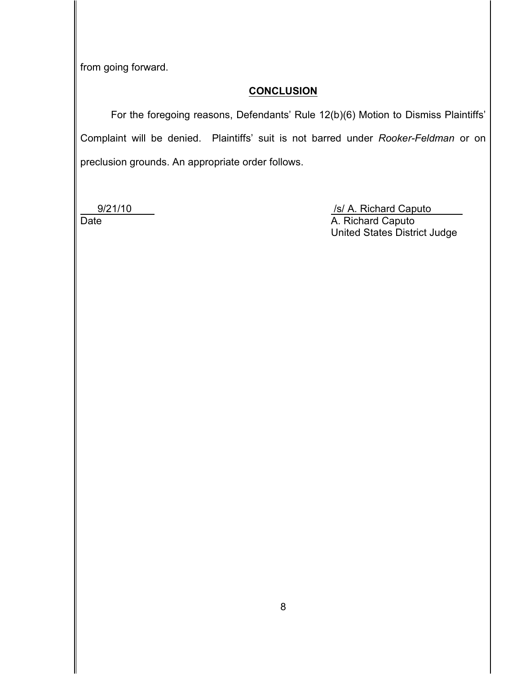from going forward.

### **CONCLUSION**

For the foregoing reasons, Defendants' Rule 12(b)(6) Motion to Dismiss Plaintiffs' Complaint will be denied. Plaintiffs' suit is not barred under *Rooker-Feldman* or on preclusion grounds. An appropriate order follows.

9/21/10 /s/ A. Richard Caputo<br>Date /s/ A. Richard Caputo A. Richard Caputo United States District Judge